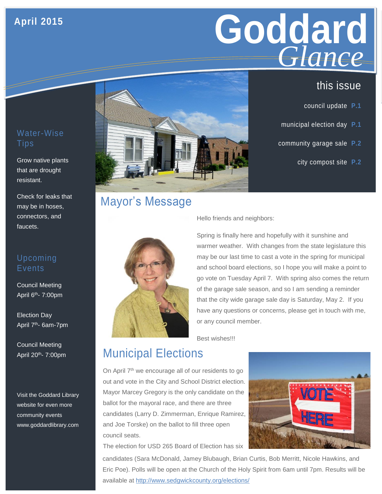#### **April 2015**

# **Goddard GLANCE**<br>this issue *Glance*

- council update **P.1**
- municipal election day **P.1**
- community garage sale **P.2**
	- city compost site **P.2**

#### Water-Wise Tips

Grow native plants that are drought resistant.

Check for leaks that may be in hoses, connectors, and faucets.

#### Upcoming Events

Council Meeting April 6<sup>th</sup>- 7:00pm

Election Day April 7th- 6am-7pm

Council Meeting April 20<sup>th</sup>- 7:00pm

Visit the Goddard Library website for even more community events www.goddardlibrary.com



## Mayor's Message



Hello friends and neighbors:

Spring is finally here and hopefully with it sunshine and warmer weather. With changes from the state legislature this may be our last time to cast a vote in the spring for municipal and school board elections, so I hope you will make a point to go vote on Tuesday April 7. With spring also comes the return of the garage sale season, and so I am sending a reminder that the city wide garage sale day is Saturday, May 2. If you have any questions or concerns, please get in touch with me, or any council member.

Best wishes!!!

# Municipal Elections

On April 7<sup>th</sup> we encourage all of our residents to go out and vote in the City and School District election. Mayor Marcey Gregory is the only candidate on the ballot for the mayoral race, and there are three candidates (Larry D. Zimmerman, Enrique Ramirez, and Joe Torske) on the ballot to fill three open council seats.

The election for USD 265 Board of Election has six



candidates (Sara McDonald, Jamey Blubaugh, Brian Curtis, Bob Merritt, Nicole Hawkins, and Eric Poe). Polls will be open at the Church of the Holy Spirit from 6am until 7pm. Results will be available at<http://www.sedgwickcounty.org/elections/>